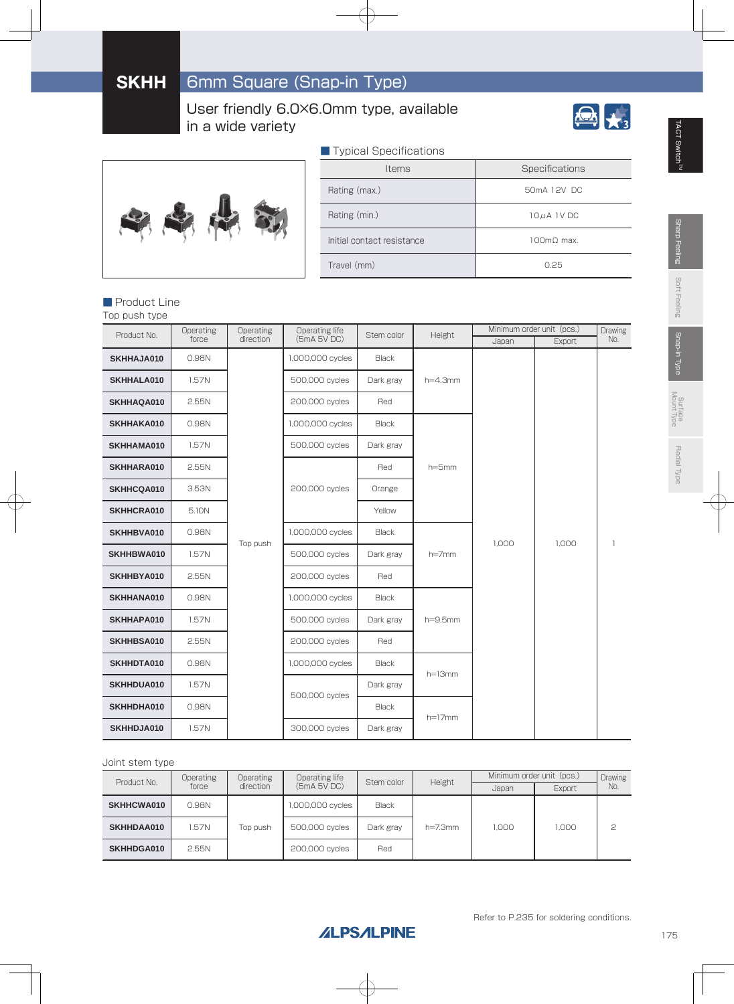User friendly 6.0×6.0mm type, available in a wide variety





| Typical Specifications     |                                |  |  |  |  |
|----------------------------|--------------------------------|--|--|--|--|
| <b>Items</b>               | Specifications                 |  |  |  |  |
| Rating (max.)              | 50mA 12V DC                    |  |  |  |  |
| Rating (min.)              | 10µA 1V DC                     |  |  |  |  |
| Initial contact resistance | $100 \text{m}$ $0 \text{ max}$ |  |  |  |  |
| Travel (mm)                | O 25                           |  |  |  |  |

#### ■ Product Line

Top push type

| Product No. | Operating | Operating | Operating life   | Stem color   | Height       |                     | Minimum order unit (pcs.) | Drawing |  |
|-------------|-----------|-----------|------------------|--------------|--------------|---------------------|---------------------------|---------|--|
|             | force     | direction | (5mA 5VDC)       |              |              | Japan               | Export                    | No.     |  |
| SKHHAJA010  | 0.98N     |           | 1,000,000 cycles | <b>Black</b> |              |                     |                           |         |  |
| SKHHALA010  | 1.57N     |           | 500,000 cycles   | Dark gray    | $h=4.3$ mm   |                     |                           |         |  |
| SKHHAQA010  | 2.55N     |           | 200,000 cycles   | Red          |              |                     |                           |         |  |
| SKHHAKA010  | 0.98N     |           | 1,000,000 cycles | <b>Black</b> |              |                     |                           |         |  |
| SKHHAMA010  | 1.57N     |           | 500,000 cycles   | Dark gray    |              |                     |                           |         |  |
| SKHHARA010  | 2.55N     |           |                  | Red          | $h = 5$ mm   |                     |                           |         |  |
| SKHHCQA010  | 3.53N     |           | 200,000 cycles   | Orange       |              | 1.000<br>$h = 7$ mm |                           |         |  |
| SKHHCRA010  | 5.10N     |           |                  | Yellow       |              |                     | 1,000                     |         |  |
| SKHHBVA010  | 0.98N     | Top push  | 1,000,000 cycles | <b>Black</b> |              |                     |                           | 1       |  |
| SKHHBWA010  | 1.57N     |           | 500,000 cycles   | Dark gray    |              |                     |                           |         |  |
| SKHHBYA010  | 2.55N     |           | 200,000 cycles   | Red          |              |                     |                           |         |  |
| SKHHANA010  | 0.98N     |           | 1,000,000 cycles | <b>Black</b> |              |                     |                           |         |  |
| SKHHAPA010  | 1.57N     |           | 500,000 cycles   | Dark gray    | $h = 9.5$ mm |                     |                           |         |  |
| SKHHBSA010  | 2.55N     |           | 200,000 cycles   | Red          |              |                     |                           |         |  |
| SKHHDTA010  | 0.98N     |           | 1,000,000 cycles | <b>Black</b> | $h=13mm$     |                     |                           |         |  |
| SKHHDUA010  | 1.57N     |           | 500,000 cycles   | Dark gray    |              |                     |                           |         |  |
| SKHHDHA010  | 0.98N     |           |                  | <b>Black</b> | $h=17$ mm    |                     |                           |         |  |
| SKHHDJA010  | 1.57N     |           | 300,000 cycles   | Dark gray    |              |                     |                           |         |  |

#### Joint stem type

| <b>Operating</b><br>Product No. |       | <b>Operating</b> | Operating life   | Stem color   | Height       | Minimum order unit (pcs.) | <b>Drawing</b> |     |
|---------------------------------|-------|------------------|------------------|--------------|--------------|---------------------------|----------------|-----|
|                                 | force | direction        | (5mA 5V DC)      |              |              | Japan                     | Export         | No. |
| <b>SKHHCWA010</b>               | 0.98N |                  | 1,000,000 cycles | <b>Black</b> |              |                           |                |     |
| SKHHDAA010                      | .57N  | Top push         | 500,000 cycles   | Dark gray    | $h = 7.3$ mm | 1.000                     | 1.000          |     |
| SKHHDGA010                      | 2.55N |                  | 200,000 cycles   | Red          |              |                           |                |     |

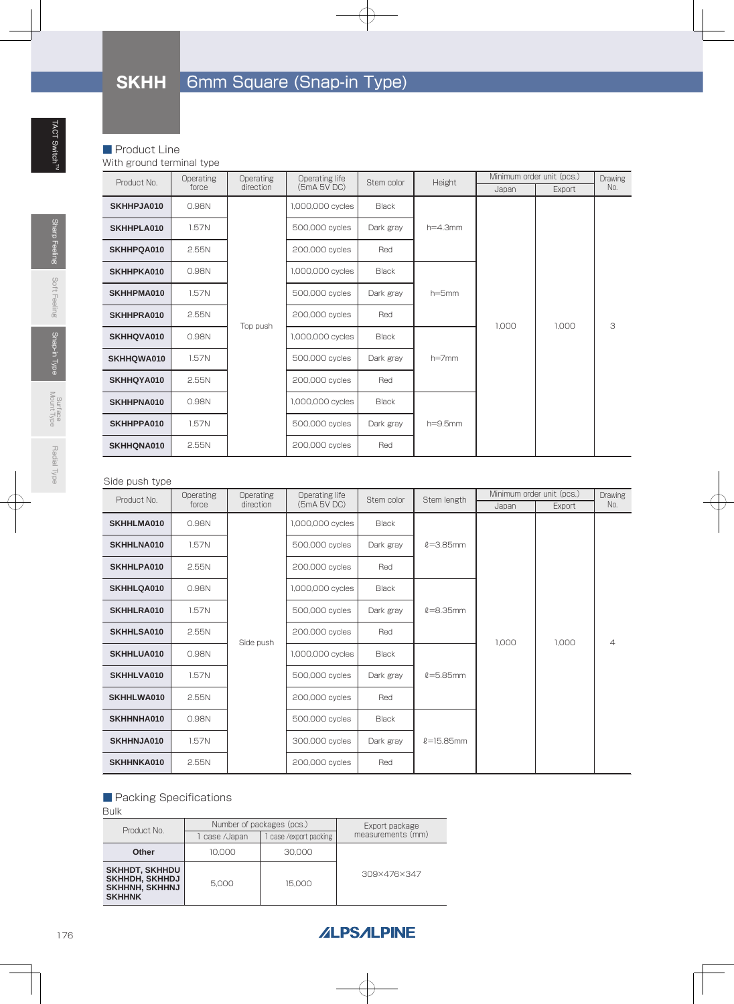# **SKHH** 6mm Square (Snap-in Type)

#### ■ Product Line

With ground terminal type

| Product No. | Operating | Operating | Operating life   | Stem color   | Height       | Minimum order unit (pcs.) |                | <b>Drawing</b> |
|-------------|-----------|-----------|------------------|--------------|--------------|---------------------------|----------------|----------------|
|             | force     | direction | (5mA 5V DC)      |              |              | Japan                     | Export         | No.            |
| SKHHPJA010  | 0.98N     |           | 1,000,000 cycles | <b>Black</b> |              |                           | 1,000<br>1.000 |                |
| SKHHPLA010  | 1.57N     |           | 500,000 cycles   | Dark gray    | $h=4.3$ mm   |                           |                |                |
| SKHHPQA010  | 2.55N     |           | 200,000 cycles   | Red          |              |                           |                |                |
| SKHHPKA010  | 0.98N     |           | 1,000,000 cycles | <b>Black</b> | $h = 5$ mm   |                           |                | 3              |
| SKHHPMA010  | 1.57N     |           | 500,000 cycles   | Dark gray    |              |                           |                |                |
| SKHHPRA010  | 2.55N     |           | 200,000 cycles   | Red          |              |                           |                |                |
| SKHHQVA010  | 0.98N     | Top push  | 1,000,000 cycles | <b>Black</b> |              |                           |                |                |
| SKHHQWA010  | 1.57N     |           | 500,000 cycles   | Dark gray    | $h = 7$ mm   |                           |                |                |
| SKHHQYA010  | 2.55N     |           | 200,000 cycles   | Red          |              |                           |                |                |
| SKHHPNA010  | 0.98N     |           | 1,000,000 cycles | <b>Black</b> |              |                           |                |                |
| SKHHPPA010  | 1.57N     |           | 500,000 cycles   | Dark gray    | $h = 9.5$ mm |                           |                |                |
| SKHHQNA010  | 2.55N     |           | 200,000 cycles   | Red          |              |                           |                |                |

#### Side push type

| Product No. | Operating | <b>Operating</b> | Operating life   | Stem color   | Stem length    |       | Minimum order unit (pcs.) | Drawing        |  |
|-------------|-----------|------------------|------------------|--------------|----------------|-------|---------------------------|----------------|--|
|             | force     | direction        | (5mA 5V DC)      |              |                | Japan | Export                    | No.            |  |
| SKHHLMA010  | 0.98N     |                  | 1,000,000 cycles | <b>Black</b> |                |       | 1,000<br>1.000            |                |  |
| SKHHLNA010  | 1.57N     |                  | 500,000 cycles   | Dark gray    | $l = 3.85$ mm  |       |                           |                |  |
| SKHHLPA010  | 2.55N     |                  | 200,000 cycles   | Red          |                |       |                           |                |  |
| SKHHLQA010  | 0.98N     |                  | 1,000,000 cycles | <b>Black</b> |                |       |                           | $\overline{4}$ |  |
| SKHHLRA010  | 1.57N     |                  | 500,000 cycles   | Dark gray    | $l = 8.35$ mm  |       |                           |                |  |
| SKHHLSA010  | 2.55N     |                  | 200,000 cycles   | Red          |                |       |                           |                |  |
| SKHHLUA010  | 0.98N     | Side push        | 1,000,000 cycles | <b>Black</b> | $l = 5.85$ mm  |       |                           |                |  |
| SKHHLVA010  | 1.57N     |                  | 500,000 cycles   | Dark gray    |                |       |                           |                |  |
| SKHHLWA010  | 2.55N     |                  | 200,000 cycles   | Red          |                |       |                           |                |  |
| SKHHNHA010  | 0.98N     |                  | 500,000 cycles   | <b>Black</b> |                |       |                           |                |  |
| SKHHNJA010  | 1.57N     |                  | 300,000 cycles   | Dark gray    | $l = 15.85$ mm |       |                           |                |  |
| SKHHNKA010  | 2.55N     |                  | 200,000 cycles   | Red          |                |       |                           |                |  |

### ■ Packing Specifications

Bulk

| ,,,,,                                                                      |                           |                     |                                     |  |
|----------------------------------------------------------------------------|---------------------------|---------------------|-------------------------------------|--|
| Product No.                                                                | Number of packages (pcs.) |                     | Export package<br>measurements (mm) |  |
|                                                                            | case /Japan               | case/export packing |                                     |  |
| Other                                                                      | 10.000                    | 30,000              |                                     |  |
| SKHHDT, SKHHDU<br><b>SKHHDH, SKHHDJ</b><br>SKHHNH, SKHHNJ<br><b>SKHHNK</b> | 5.000                     | 15,000              | 309×476×347                         |  |

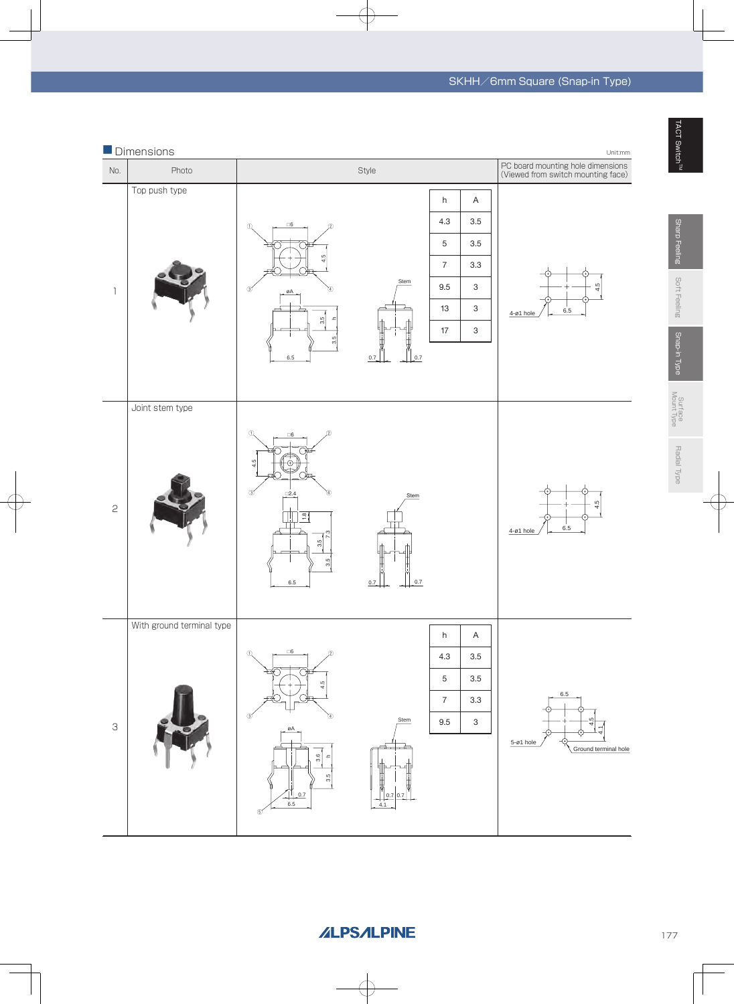

**ALPSALPINE** 

177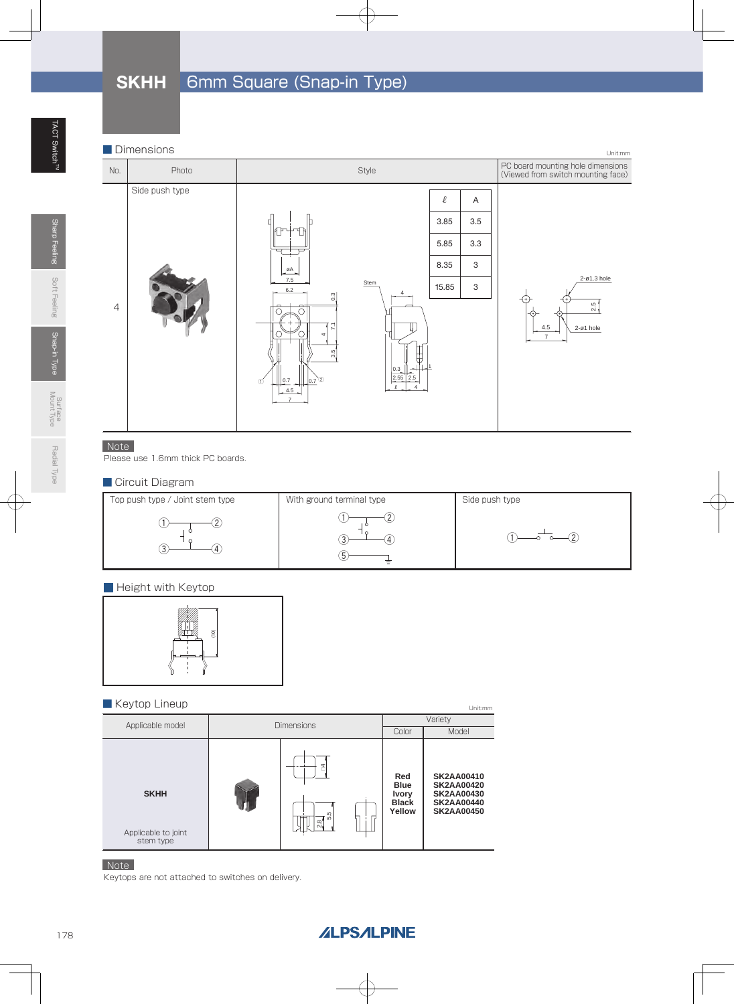### **SKHH** 6mm Square (Snap-in Type)



### Note

Please use 1.6mm thick PC boards.

#### ■ Circuit Diagram



#### **Height with Keytop**



#### ■ Keytop Lineup

| $\blacksquare$ in $\cup$ y to $\upmu$ $\blacksquare$ in ioap |                                |                                                              | Unit:mm                                                                                               |
|--------------------------------------------------------------|--------------------------------|--------------------------------------------------------------|-------------------------------------------------------------------------------------------------------|
| Applicable model                                             | <b>Dimensions</b>              |                                                              | Variety                                                                                               |
|                                                              |                                | Color                                                        | Model                                                                                                 |
| <b>SKHH</b><br>Applicable to joint<br>stem type              | 4<br>S<br>ωj<br>$\frac{8}{21}$ | Red<br><b>Blue</b><br><b>Ivory</b><br><b>Black</b><br>Yellow | <b>SK2AA00410</b><br><b>SK2AA00420</b><br><b>SK2AA00430</b><br><b>SK2AA00440</b><br><b>SK2AA00450</b> |

#### Note

Keytops are not attached to switches on delivery.

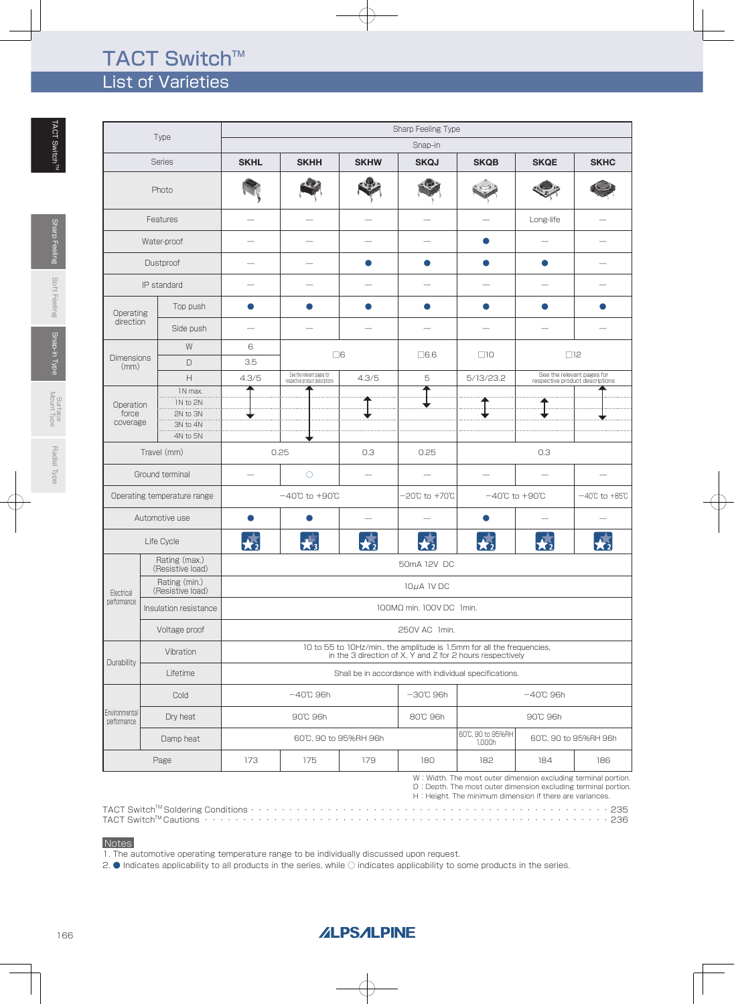## TACT Switch™ List of Varieties

| <b>Type</b>                                                                      |                                                                                                                                                  |             | Sharp Feeling Type                                            |                           |                     |                             |                                    |                                                               |  |  |  |
|----------------------------------------------------------------------------------|--------------------------------------------------------------------------------------------------------------------------------------------------|-------------|---------------------------------------------------------------|---------------------------|---------------------|-----------------------------|------------------------------------|---------------------------------------------------------------|--|--|--|
|                                                                                  |                                                                                                                                                  |             |                                                               |                           | Snap-in             |                             |                                    |                                                               |  |  |  |
|                                                                                  | <b>Series</b>                                                                                                                                    | <b>SKHL</b> | <b>SKHH</b>                                                   | <b>SKHW</b>               | <b>SKQJ</b>         | <b>SKQB</b>                 | <b>SKQE</b>                        | <b>SKHC</b>                                                   |  |  |  |
|                                                                                  | Photo                                                                                                                                            |             |                                                               |                           |                     |                             |                                    |                                                               |  |  |  |
|                                                                                  | Features                                                                                                                                         |             |                                                               |                           |                     |                             | Long-life                          |                                                               |  |  |  |
|                                                                                  | Water-proof                                                                                                                                      |             |                                                               |                           |                     |                             |                                    |                                                               |  |  |  |
|                                                                                  | Dustproof                                                                                                                                        |             |                                                               |                           |                     |                             |                                    |                                                               |  |  |  |
|                                                                                  | IP standard                                                                                                                                      |             |                                                               |                           |                     |                             |                                    |                                                               |  |  |  |
| Operating                                                                        | Top push                                                                                                                                         | $\bullet$   |                                                               | œ                         | O                   | O                           | $\bullet$                          |                                                               |  |  |  |
| direction                                                                        | Side push                                                                                                                                        |             |                                                               |                           |                     |                             |                                    |                                                               |  |  |  |
|                                                                                  | W                                                                                                                                                | 6           |                                                               |                           |                     |                             |                                    |                                                               |  |  |  |
| <b>Dimensions</b><br>(mm)                                                        | $\Box$                                                                                                                                           | 3.5         |                                                               | $\square 6$               | $\Box$ 6.6          | $\Box$ 10                   |                                    | $\Box$ 12                                                     |  |  |  |
|                                                                                  | $\boldsymbol{\mathsf{H}}$                                                                                                                        | 4.3/5       | See the relevant pages for<br>respective product descriptions | 4.3/5                     | 5                   | 5/13/23.2                   |                                    | See the relevant pages for<br>respective product descriptions |  |  |  |
| Operation<br>force<br>coverage                                                   | 1N max.<br>IN to 2N<br>2N to 3N<br>3N to 4N<br>4N to 5N                                                                                          |             |                                                               |                           |                     |                             |                                    |                                                               |  |  |  |
|                                                                                  | Travel (mm)                                                                                                                                      |             | 0.25                                                          | 0.3                       | 0.25                |                             | 0.3                                |                                                               |  |  |  |
|                                                                                  | Ground terminal                                                                                                                                  |             | $\circ$                                                       |                           |                     |                             |                                    |                                                               |  |  |  |
|                                                                                  | Operating temperature range                                                                                                                      |             | $-40^{\circ}$ C to $+90^{\circ}$ C                            |                           | -20℃ to +70℃        |                             | $-40^{\circ}$ C to $+90^{\circ}$ C | $-40^{\circ}\text{C}$ to $+85^{\circ}\text{C}$                |  |  |  |
|                                                                                  | Automotive use                                                                                                                                   |             |                                                               |                           |                     |                             |                                    |                                                               |  |  |  |
|                                                                                  | Life Cycle                                                                                                                                       | 77          | $\mathbf{X}$ 3                                                | $\overline{\bigstar_{2}}$ | $\star$             | $\bigstar_2$                | $\mathbf{x}$                       |                                                               |  |  |  |
|                                                                                  | Rating (max.)<br>(Resistive load)                                                                                                                |             |                                                               |                           | 50mA 12V DC         |                             |                                    |                                                               |  |  |  |
| Electrical                                                                       | Rating (min.)<br>(Resistive load)                                                                                                                |             | $10\mu$ A 1V DC                                               |                           |                     |                             |                                    |                                                               |  |  |  |
| performance                                                                      | Insulation resistance                                                                                                                            |             | 100MΩ min. 100V DC 1min.                                      |                           |                     |                             |                                    |                                                               |  |  |  |
|                                                                                  | Voltage proof                                                                                                                                    |             |                                                               |                           | 250V AC 1min.       |                             |                                    |                                                               |  |  |  |
|                                                                                  | 10 to 55 to 10Hz/min., the amplitude is 1.5mm for all the frequencies,<br>Vibration<br>in the 3 direction of X, Y and Z for 2 hours respectively |             |                                                               |                           |                     |                             |                                    |                                                               |  |  |  |
| Durability<br>Lifetime<br>Shall be in accordance with individual specifications. |                                                                                                                                                  |             |                                                               |                           |                     |                             |                                    |                                                               |  |  |  |
|                                                                                  | Cold                                                                                                                                             |             | $-40^\circ$ C 96h                                             |                           | $-30^{\circ}$ C 96h |                             | $-40^{\circ}$ C 96h                |                                                               |  |  |  |
| Environmental<br>performance                                                     | Dry heat                                                                                                                                         |             | 90°C 96h                                                      |                           | 80°C 96h            |                             | 90°C 96h                           |                                                               |  |  |  |
|                                                                                  | Damp heat                                                                                                                                        |             |                                                               | 60°C, 90 to 95%RH 96h     |                     | 60°C, 90 to 95%RH<br>1,000h |                                    | 60°C, 90 to 95%RH 96h                                         |  |  |  |
|                                                                                  | Page                                                                                                                                             | 173         | 175                                                           | 179                       | 180                 | 182                         | 184                                | 186                                                           |  |  |  |

W: Width. The most outer dimension excluding terminal portion. D : Depth. The most outer dimension excluding terminal portion.<br>H : Height. The minimum dimension if there are variances.

TACT SwitchTM Soldering Conditions・・・・・・・・・・・・・・・・・・・・・・・・・・・・・・・・・・・・・・・・・・・・・・・235 TACT SwitchTM Cautions ・・・・・・・・・・・・・・・・・・・・・・・・・・・・・・・・・・・・・・・・・・・・・・・・・・・・・236

#### **Notes**

1. The automotive operating temperature range to be individually discussed upon request.

2. ● Indicates applicability to all products in the series, while ○ indicates applicability to some products in the series.

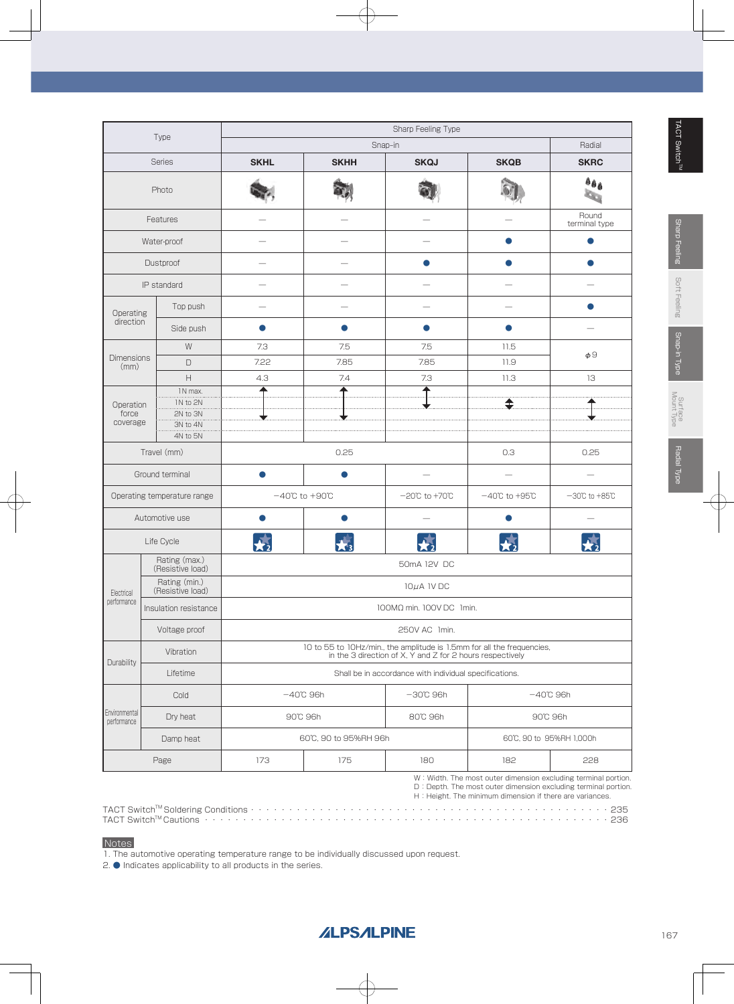|                              |                                   | Sharp Feeling Type        |                                    |                                                                                                                                     |                                    |                                                                                                                                 |  |  |  |  |
|------------------------------|-----------------------------------|---------------------------|------------------------------------|-------------------------------------------------------------------------------------------------------------------------------------|------------------------------------|---------------------------------------------------------------------------------------------------------------------------------|--|--|--|--|
|                              | Type                              |                           |                                    | Snap-in                                                                                                                             |                                    | Radial                                                                                                                          |  |  |  |  |
|                              | <b>Series</b>                     | <b>SKHL</b>               | <b>SKHH</b>                        | <b>SKQJ</b>                                                                                                                         | <b>SKQB</b>                        | <b>SKRC</b>                                                                                                                     |  |  |  |  |
|                              | Photo                             |                           |                                    |                                                                                                                                     |                                    | $a_{\hat{\theta} \hat{\theta}}$                                                                                                 |  |  |  |  |
|                              | Features                          |                           |                                    |                                                                                                                                     |                                    | Round<br>terminal type                                                                                                          |  |  |  |  |
|                              | Water-proof                       |                           |                                    |                                                                                                                                     | œ                                  | O                                                                                                                               |  |  |  |  |
|                              | Dustproof                         |                           |                                    |                                                                                                                                     |                                    |                                                                                                                                 |  |  |  |  |
|                              | IP standard                       |                           |                                    |                                                                                                                                     |                                    |                                                                                                                                 |  |  |  |  |
| Operating                    | Top push                          |                           |                                    |                                                                                                                                     |                                    |                                                                                                                                 |  |  |  |  |
| direction                    | Side push                         | O                         |                                    | ●                                                                                                                                   | $\bullet$                          |                                                                                                                                 |  |  |  |  |
|                              | W                                 | 7.3                       | 7.5                                | 7.5                                                                                                                                 | 11.5                               |                                                                                                                                 |  |  |  |  |
| <b>Dimensions</b><br>(mm)    | $\Box$                            | 7.22                      | 7.85                               | 7.85                                                                                                                                | 11.9                               | $\phi$ <sup>9</sup>                                                                                                             |  |  |  |  |
|                              | $\overline{H}$                    | 4.3                       | 7.4                                | 7.3                                                                                                                                 | 11.3                               | 13                                                                                                                              |  |  |  |  |
|                              | 1N max.                           |                           |                                    |                                                                                                                                     |                                    |                                                                                                                                 |  |  |  |  |
| Operation<br>force           | IN to 2N<br>2N to 3N              |                           |                                    |                                                                                                                                     | ↨                                  |                                                                                                                                 |  |  |  |  |
| coverage                     | 3N to 4N                          |                           |                                    |                                                                                                                                     |                                    |                                                                                                                                 |  |  |  |  |
|                              | 4N to 5N                          |                           |                                    |                                                                                                                                     |                                    |                                                                                                                                 |  |  |  |  |
| Travel (mm)                  |                                   |                           | 0.25                               | 0.3                                                                                                                                 | 0.25                               |                                                                                                                                 |  |  |  |  |
|                              | Ground terminal                   |                           |                                    |                                                                                                                                     |                                    |                                                                                                                                 |  |  |  |  |
|                              | Operating temperature range       |                           | $-40^{\circ}$ C to $+90^{\circ}$ C |                                                                                                                                     | $-40^{\circ}$ C to $+95^{\circ}$ C | $-30^{\circ}$ C to $+85^{\circ}$ C                                                                                              |  |  |  |  |
|                              | Automotive use                    |                           |                                    |                                                                                                                                     |                                    |                                                                                                                                 |  |  |  |  |
|                              | Life Cycle                        | $\overline{\mathbf{X}_2}$ |                                    | $\mathbf{X}_2$                                                                                                                      | 秀                                  |                                                                                                                                 |  |  |  |  |
|                              | Rating (max.)<br>(Resistive load) |                           |                                    | 50mA 12V DC                                                                                                                         |                                    |                                                                                                                                 |  |  |  |  |
| Electrical                   | Rating (min.)<br>(Resistive load) |                           |                                    | $10\mu$ A 1V DC                                                                                                                     |                                    |                                                                                                                                 |  |  |  |  |
| performance                  | Insulation resistance             |                           |                                    | 100MΩ min. 100V DC 1min.                                                                                                            |                                    |                                                                                                                                 |  |  |  |  |
|                              | Voltage proof                     |                           | 250V AC 1min.                      |                                                                                                                                     |                                    |                                                                                                                                 |  |  |  |  |
| Durability                   | Vibration                         |                           |                                    | 10 to 55 to 10Hz/min., the amplitude is 1.5mm for all the frequencies,<br>in the 3 direction of X, Y and Z for 2 hours respectively |                                    |                                                                                                                                 |  |  |  |  |
|                              | Lifetime                          |                           |                                    | Shall be in accordance with individual specifications.                                                                              |                                    |                                                                                                                                 |  |  |  |  |
|                              | Cold                              |                           | $-40^{\circ}$ C 96h                | $-30^{\circ}$ C 96h                                                                                                                 |                                    | $-40^\circ$ C 96h                                                                                                               |  |  |  |  |
| Environmental<br>performance | Dry heat                          |                           | 90°C 96h                           | 80°C 96h                                                                                                                            |                                    | 90°C 96h                                                                                                                        |  |  |  |  |
|                              | Damp heat                         |                           | 60°C, 90 to 95%RH 96h              |                                                                                                                                     |                                    | 60°C, 90 to 95%RH 1,000h                                                                                                        |  |  |  |  |
|                              | Page                              | 173                       | 175                                | 180                                                                                                                                 | 182                                | 228                                                                                                                             |  |  |  |  |
|                              |                                   |                           |                                    |                                                                                                                                     |                                    | W: Width. The most outer dimension excluding terminal portion.<br>D. Depth. The most outer dimension excluding terminal portion |  |  |  |  |

D : Depth. The most outer dimension excluding terminal portion.<br>H : Height. The minimum dimension if there are variances.

TACT SwitchTM Soldering Conditions・・・・・・・・・・・・・・・・・・・・・・・・・・・・・・・・・・・・・・・・・・・・・・・235 TACT SwitchTM Cautions ・・・・・・・・・・・・・・・・・・・・・・・・・・・・・・・・・・・・・・・・・・・・・・・・・・・・・236

#### **Notes**

1. The automotive operating temperature range to be individually discussed upon request.

2. ● Indicates applicability to all products in the series.

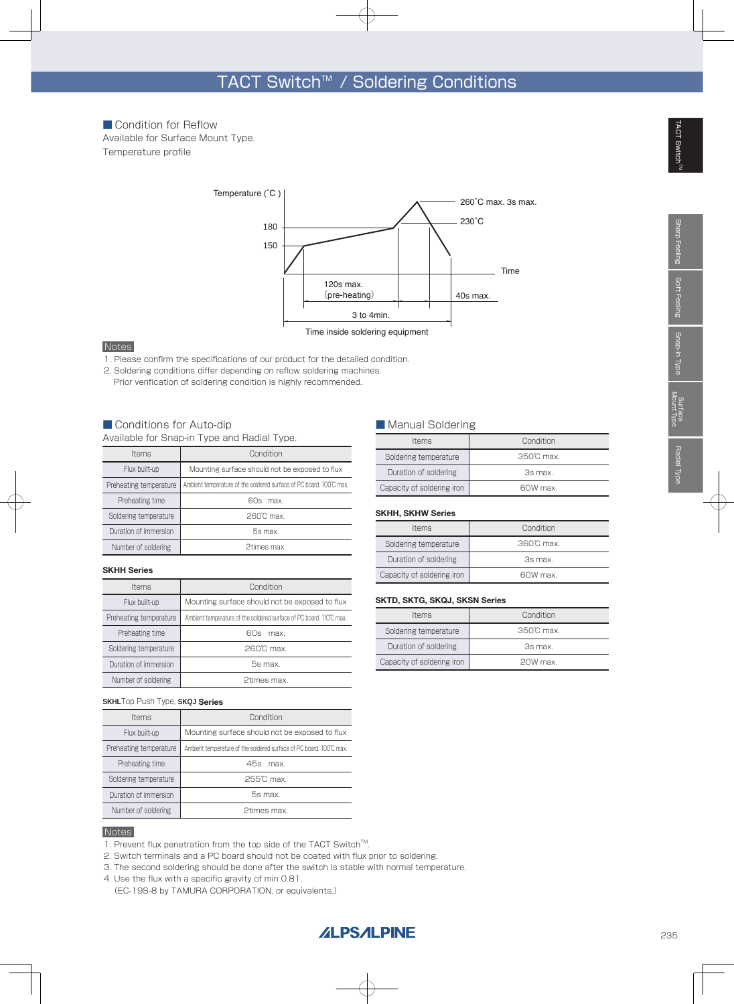Temperature profile ■ Condition for Reflow Available for Surface Mount Type.



#### Notes

- 1. Please confirm the specifications of our product for the detailed condition.
- 2. Soldering conditions differ depending on reflow soldering machines.
- Prior verification of soldering condition is highly recommended.

#### ■ Conditions for Auto-dip

Available for Snap-in Type and Radial Type.

| <b>Items</b>           | Condition                                                           |
|------------------------|---------------------------------------------------------------------|
| Flux built-up          | Mounting surface should not be exposed to flux                      |
| Preheating temperature | Ambient temperature of the soldered surface of PC board. 100°C max. |
| Preheating time        | 60s max                                                             |
| Soldering temperature  | 260°C max.                                                          |
| Duration of immersion  | 5s max.                                                             |
| Number of soldering    | 2times max.                                                         |

#### **SKHH Series**

| <b>Items</b>           | Condition                                                           |
|------------------------|---------------------------------------------------------------------|
| Flux built-up          | Mounting surface should not be exposed to flux                      |
| Preheating temperature | Ambient temperature of the soldered surface of PC board. 110°C max. |
| Preheating time        | 60s<br>max                                                          |
| Soldering temperature  | $260^\circ$ C max.                                                  |
| Duration of immersion  | 5s max.                                                             |
| Number of soldering    | 2times max.                                                         |

#### **SKHL**Top Push Type, **SKQJ Series**

| <b>Items</b>           | Condition                                                           |
|------------------------|---------------------------------------------------------------------|
| Flux built-up          | Mounting surface should not be exposed to flux                      |
| Preheating temperature | Ambient temperature of the soldered surface of PC board. 100°C max. |
| Preheating time        | 45s max                                                             |
| Soldering temperature  | 255℃ max.                                                           |
| Duration of immersion  | 5s max.                                                             |
| Number of soldering    | 2times max.                                                         |

#### **Notes**

1. Prevent flux penetration from the top side of the TACT Switch<sup>TM</sup>.

- 2. Switch terminals and a PC board should not be coated with flux prior to soldering.
- 3. The second soldering should be done after the switch is stable with normal temperature.
- 4. Use the flux with a specific gravity of min 0.81.
- (EC-19S-8 by TAMURA CORPORATION, or equivalents.)

#### ■ Manual Soldering

| <b>Items</b>               | Condition          |
|----------------------------|--------------------|
| Soldering temperature      | $350^\circ$ C max. |
| Duration of soldering      | 3s max.            |
| Capacity of soldering iron | 60W max.           |

#### **SKHH, SKHW Series**

| <b>Items</b>               | Condition          |
|----------------------------|--------------------|
| Soldering temperature      | $360^\circ$ C max. |
| Duration of soldering      | 3s max.            |
| Capacity of soldering iron | 60W max.           |

#### **SKTD, SKTG, SKQJ, SKSN Series**

| <b>Items</b>               | Condition         |
|----------------------------|-------------------|
| Soldering temperature      | $350^\circ$ C max |
| Duration of soldering      | 3s max.           |
| Capacity of soldering iron | 20W max.          |